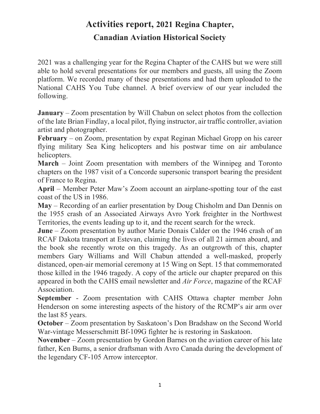## Activities report, 2021 Regina Chapter, Canadian Aviation Historical Society

2021 was a challenging year for the Regina Chapter of the CAHS but we were still able to hold several presentations for our members and guests, all using the Zoom platform. We recorded many of these presentations and had them uploaded to the National CAHS You Tube channel. A brief overview of our year included the following.

January – Zoom presentation by Will Chabun on select photos from the collection of the late Brian Findlay, a local pilot, flying instructor, air traffic controller, aviation artist and photographer.

February – on Zoom, presentation by expat Reginan Michael Gropp on his career flying military Sea King helicopters and his postwar time on air ambulance helicopters.

March – Joint Zoom presentation with members of the Winnipeg and Toronto chapters on the 1987 visit of a Concorde supersonic transport bearing the president of France to Regina.

April – Member Peter Maw's Zoom account an airplane-spotting tour of the east coast of the US in 1986.

May – Recording of an earlier presentation by Doug Chisholm and Dan Dennis on the 1955 crash of an Associated Airways Avro York freighter in the Northwest Territories, the events leading up to it, and the recent search for the wreck.

June – Zoom presentation by author Marie Donais Calder on the 1946 crash of an RCAF Dakota transport at Estevan, claiming the lives of all 21 airmen aboard, and the book she recently wrote on this tragedy. As an outgrowth of this, chapter members Gary Williams and Will Chabun attended a well-masked, properly distanced, open-air memorial ceremony at 15 Wing on Sept. 15 that commemorated those killed in the 1946 tragedy. A copy of the article our chapter prepared on this appeared in both the CAHS email newsletter and Air Force, magazine of the RCAF Association.

September - Zoom presentation with CAHS Ottawa chapter member John Henderson on some interesting aspects of the history of the RCMP's air arm over the last 85 years.

October – Zoom presentation by Saskatoon's Don Bradshaw on the Second World War-vintage Messerschmitt Bf-109G fighter he is restoring in Saskatoon.

November – Zoom presentation by Gordon Barnes on the aviation career of his late father, Ken Burns, a senior draftsman with Avro Canada during the development of the legendary CF-105 Arrow interceptor.